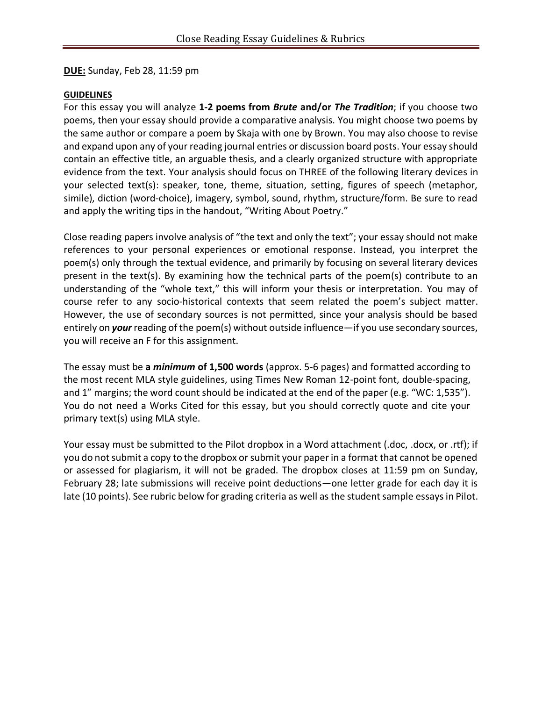**DUE:** Sunday, Feb 28, 11:59 pm

#### **GUIDELINES**

For this essay you will analyze **1-2 poems from** *Brute* **and/or** *The Tradition*; if you choose two poems, then your essay should provide a comparative analysis. You might choose two poems by the same author or compare a poem by Skaja with one by Brown. You may also choose to revise and expand upon any of your reading journal entries or discussion board posts. Your essay should contain an effective title, an arguable thesis, and a clearly organized structure with appropriate evidence from the text. Your analysis should focus on THREE of the following literary devices in your selected text(s): speaker, tone, theme, situation, setting, figures of speech (metaphor, simile), diction (word-choice), imagery, symbol, sound, rhythm, structure/form. Be sure to read and apply the writing tips in the handout, "Writing About Poetry."

Close reading papers involve analysis of "the text and only the text"; your essay should not make references to your personal experiences or emotional response. Instead, you interpret the poem(s) only through the textual evidence, and primarily by focusing on several literary devices present in the text(s). By examining how the technical parts of the poem(s) contribute to an understanding of the "whole text," this will inform your thesis or interpretation. You may of course refer to any socio-historical contexts that seem related the poem's subject matter. However, the use of secondary sources is not permitted, since your analysis should be based entirely on *your* reading of the poem(s) without outside influence—if you use secondary sources, you will receive an F for this assignment.

The essay must be **a** *minimum* **of 1,500 words** (approx. 5-6 pages) and formatted according to the most recent MLA style guidelines, using Times New Roman 12-point font, double-spacing, and 1" margins; the word count should be indicated at the end of the paper (e.g. "WC: 1,535"). You do not need a Works Cited for this essay, but you should correctly quote and cite your primary text(s) using MLA style.

Your essay must be submitted to the Pilot dropbox in a Word attachment (.doc, .docx, or .rtf); if you do not submit a copy to the dropbox or submit your paper in a format that cannot be opened or assessed for plagiarism, it will not be graded. The dropbox closes at 11:59 pm on Sunday, February 28; late submissions will receive point deductions—one letter grade for each day it is late (10 points). See rubric below for grading criteria as well as the student sample essays in Pilot.